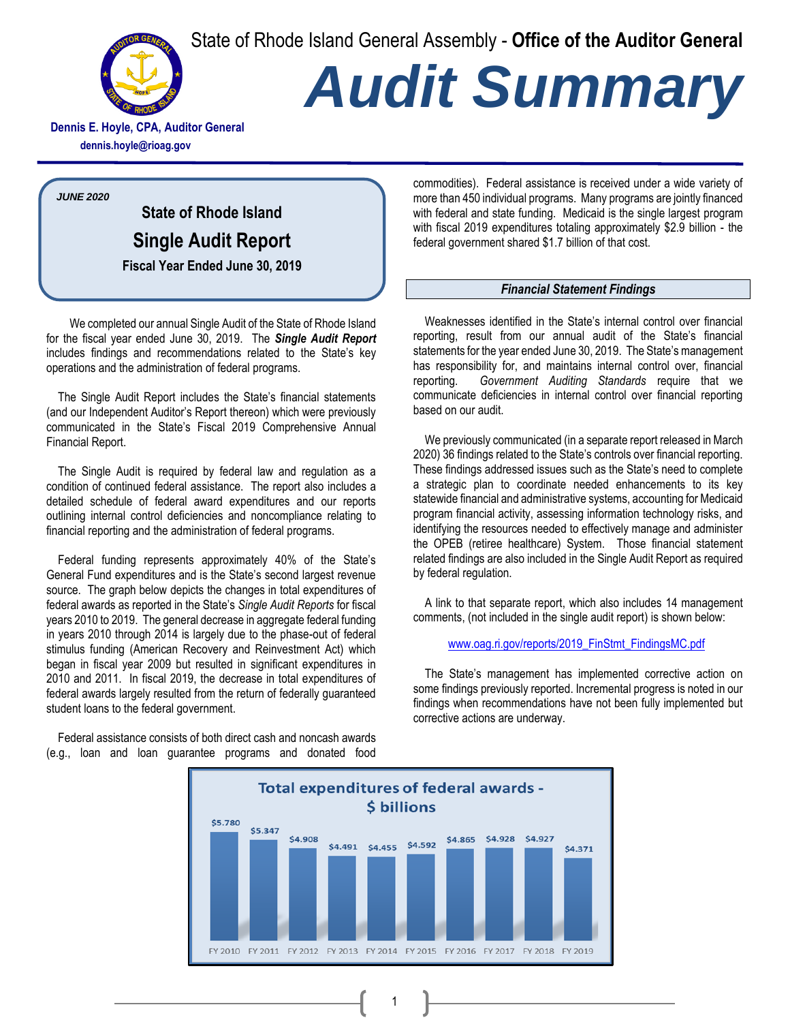State of Rhode Island General Assembly - **Office of the Auditor General**



# *Audit Summary*

**Dennis E. Hoyle, CPA, Auditor General dennis.hoyle@rioag.gov**

*JUNE 2020*

**State of Rhode Island Single Audit Report Fiscal Year Ended June 30, 2019**

We completed our annual Single Audit of the State of Rhode Island for the fiscal year ended June 30, 2019. The *Single Audit Report* includes findings and recommendations related to the State's key operations and the administration of federal programs.

The Single Audit Report includes the State's financial statements (and our Independent Auditor's Report thereon) which were previously communicated in the State's Fiscal 2019 Comprehensive Annual Financial Report.

The Single Audit is required by federal law and regulation as a condition of continued federal assistance. The report also includes a detailed schedule of federal award expenditures and our reports outlining internal control deficiencies and noncompliance relating to financial reporting and the administration of federal programs.

Federal funding represents approximately 40% of the State's General Fund expenditures and is the State's second largest revenue source. The graph below depicts the changes in total expenditures of federal awards as reported in the State's *Single Audit Reports* for fiscal years 2010 to 2019. The general decrease in aggregate federal funding in years 2010 through 2014 is largely due to the phase-out of federal stimulus funding (American Recovery and Reinvestment Act) which began in fiscal year 2009 but resulted in significant expenditures in 2010 and 2011. In fiscal 2019, the decrease in total expenditures of federal awards largely resulted from the return of federally guaranteed student loans to the federal government.

Federal assistance consists of both direct cash and noncash awards (e.g., loan and loan guarantee programs and donated food

commodities). Federal assistance is received under a wide variety of more than 450 individual programs. Many programs are jointly financed with federal and state funding. Medicaid is the single largest program with fiscal 2019 expenditures totaling approximately \$2.9 billion - the federal government shared \$1.7 billion of that cost.

#### *Financial Statement Findings*

Weaknesses identified in the State's internal control over financial reporting, result from our annual audit of the State's financial statements for the year ended June 30, 2019. The State's management has responsibility for, and maintains internal control over, financial reporting. *Government Auditing Standards* require that we communicate deficiencies in internal control over financial reporting based on our audit.

We previously communicated (in a separate report released in March 2020) 36 findings related to the State's controls over financial reporting. These findings addressed issues such as the State's need to complete a strategic plan to coordinate needed enhancements to its key statewide financial and administrative systems, accounting for Medicaid program financial activity, assessing information technology risks, and identifying the resources needed to effectively manage and administer the OPEB (retiree healthcare) System. Those financial statement related findings are also included in the Single Audit Report as required by federal regulation.

A link to that separate report, which also includes 14 management comments, (not included in the single audit report) is shown below:

#### [www.oag.ri.gov/reports/2019\\_FinStmt\\_FindingsMC.pdf](http://www.oag.ri.gov/reports/2019_FinStmt_FindingsMC.pdf)

The State's management has implemented corrective action on some findings previously reported. Incremental progress is noted in our findings when recommendations have not been fully implemented but corrective actions are underway.



1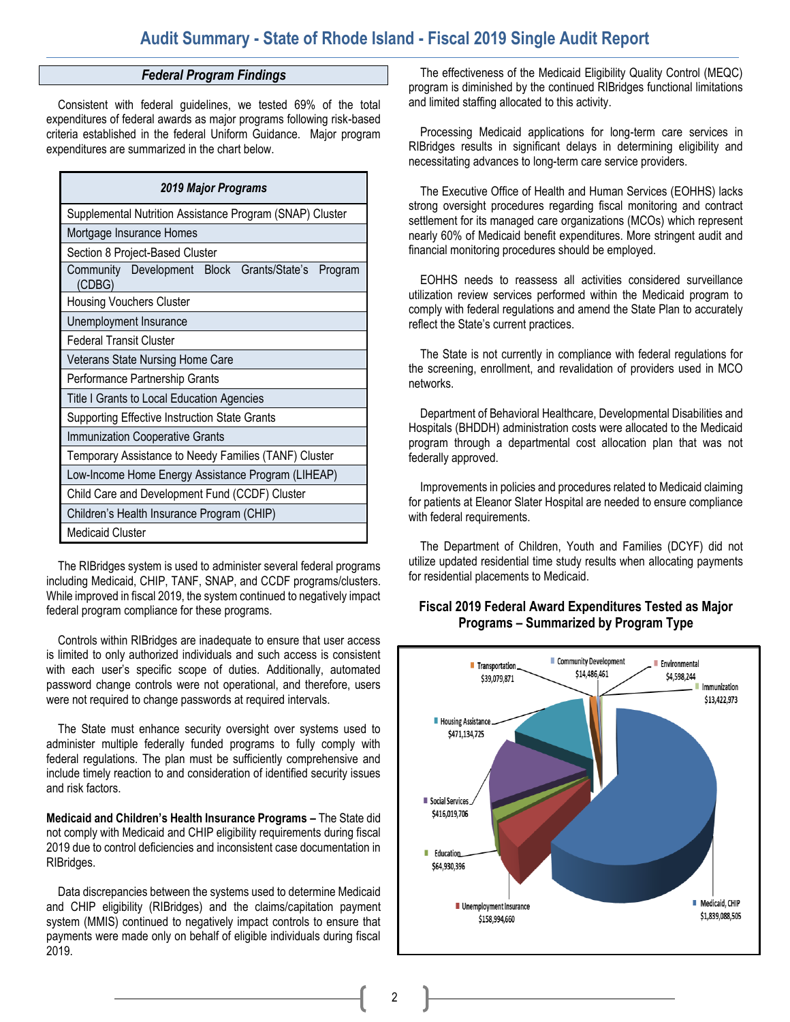#### *Federal Program Findings*

Consistent with federal guidelines, we tested 69% of the total expenditures of federal awards as major programs following risk-based criteria established in the federal Uniform Guidance. Major program expenditures are summarized in the chart below.

| 2019 Major Programs                                          |  |  |  |  |
|--------------------------------------------------------------|--|--|--|--|
| Supplemental Nutrition Assistance Program (SNAP) Cluster     |  |  |  |  |
| Mortgage Insurance Homes                                     |  |  |  |  |
| Section 8 Project-Based Cluster                              |  |  |  |  |
| Community Development Block Grants/State's Program<br>(CDBG) |  |  |  |  |
| <b>Housing Vouchers Cluster</b>                              |  |  |  |  |
| Unemployment Insurance                                       |  |  |  |  |
| <b>Federal Transit Cluster</b>                               |  |  |  |  |
| Veterans State Nursing Home Care                             |  |  |  |  |
| Performance Partnership Grants                               |  |  |  |  |
| Title I Grants to Local Education Agencies                   |  |  |  |  |
| <b>Supporting Effective Instruction State Grants</b>         |  |  |  |  |
| Immunization Cooperative Grants                              |  |  |  |  |
| Temporary Assistance to Needy Families (TANF) Cluster        |  |  |  |  |
| Low-Income Home Energy Assistance Program (LIHEAP)           |  |  |  |  |
| Child Care and Development Fund (CCDF) Cluster               |  |  |  |  |
| Children's Health Insurance Program (CHIP)                   |  |  |  |  |
| <b>Medicaid Cluster</b>                                      |  |  |  |  |

The RIBridges system is used to administer several federal programs including Medicaid, CHIP, TANF, SNAP, and CCDF programs/clusters. While improved in fiscal 2019, the system continued to negatively impact federal program compliance for these programs.

Controls within RIBridges are inadequate to ensure that user access is limited to only authorized individuals and such access is consistent with each user's specific scope of duties. Additionally, automated password change controls were not operational, and therefore, users were not required to change passwords at required intervals.

The State must enhance security oversight over systems used to administer multiple federally funded programs to fully comply with federal regulations. The plan must be sufficiently comprehensive and include timely reaction to and consideration of identified security issues and risk factors.

**Medicaid and Children's Health Insurance Programs –** The State did not comply with Medicaid and CHIP eligibility requirements during fiscal 2019 due to control deficiencies and inconsistent case documentation in RIBridges.

Data discrepancies between the systems used to determine Medicaid and CHIP eligibility (RIBridges) and the claims/capitation payment system (MMIS) continued to negatively impact controls to ensure that payments were made only on behalf of eligible individuals during fiscal 2019.

The effectiveness of the Medicaid Eligibility Quality Control (MEQC) program is diminished by the continued RIBridges functional limitations and limited staffing allocated to this activity.

Processing Medicaid applications for long-term care services in RIBridges results in significant delays in determining eligibility and necessitating advances to long-term care service providers.

The Executive Office of Health and Human Services (EOHHS) lacks strong oversight procedures regarding fiscal monitoring and contract settlement for its managed care organizations (MCOs) which represent nearly 60% of Medicaid benefit expenditures. More stringent audit and financial monitoring procedures should be employed.

EOHHS needs to reassess all activities considered surveillance utilization review services performed within the Medicaid program to comply with federal regulations and amend the State Plan to accurately reflect the State's current practices.

The State is not currently in compliance with federal regulations for the screening, enrollment, and revalidation of providers used in MCO networks.

Department of Behavioral Healthcare, Developmental Disabilities and Hospitals (BHDDH) administration costs were allocated to the Medicaid program through a departmental cost allocation plan that was not federally approved.

Improvements in policies and procedures related to Medicaid claiming for patients at Eleanor Slater Hospital are needed to ensure compliance with federal requirements.

The Department of Children, Youth and Families (DCYF) did not utilize updated residential time study results when allocating payments for residential placements to Medicaid.

### **Fiscal 2019 Federal Award Expenditures Tested as Major Programs – Summarized by Program Type**



2